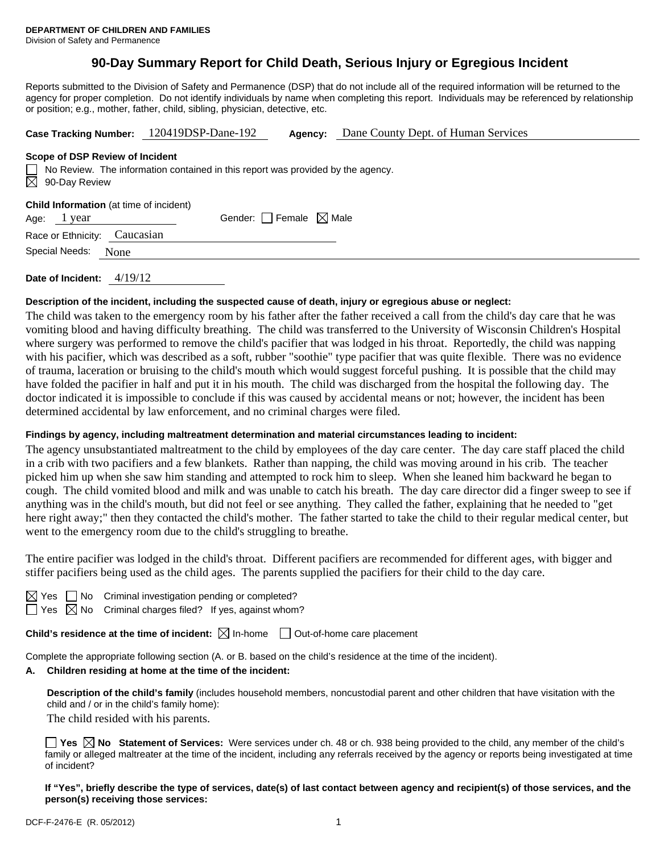# **90-Day Summary Report for Child Death, Serious Injury or Egregious Incident**

Reports submitted to the Division of Safety and Permanence (DSP) that do not include all of the required information will be returned to the agency for proper completion. Do not identify individuals by name when completing this report. Individuals may be referenced by relationship or position; e.g., mother, father, child, sibling, physician, detective, etc.

|                                                                                                                                                        | Case Tracking Number: 120419DSP-Dane-192 | Agency: | Dane County Dept. of Human Services |  |  |  |  |  |
|--------------------------------------------------------------------------------------------------------------------------------------------------------|------------------------------------------|---------|-------------------------------------|--|--|--|--|--|
| Scope of DSP Review of Incident<br>$\Box$ No Review. The information contained in this report was provided by the agency.<br>$\boxtimes$ 90-Day Review |                                          |         |                                     |  |  |  |  |  |
| <b>Child Information</b> (at time of incident)<br>Age: 1 year                                                                                          | Gender: Female $\boxtimes$ Male          |         |                                     |  |  |  |  |  |
| Race or Ethnicity:                                                                                                                                     | Caucasian                                |         |                                     |  |  |  |  |  |
| Special Needs:<br>None                                                                                                                                 |                                          |         |                                     |  |  |  |  |  |
|                                                                                                                                                        |                                          |         |                                     |  |  |  |  |  |

**Date of Incident:** 4/19/12

### **Description of the incident, including the suspected cause of death, injury or egregious abuse or neglect:**

The child was taken to the emergency room by his father after the father received a call from the child's day care that he was vomiting blood and having difficulty breathing. The child was transferred to the University of Wisconsin Children's Hospital where surgery was performed to remove the child's pacifier that was lodged in his throat. Reportedly, the child was napping with his pacifier, which was described as a soft, rubber "soothie" type pacifier that was quite flexible. There was no evidence of trauma, laceration or bruising to the child's mouth which would suggest forceful pushing. It is possible that the child may have folded the pacifier in half and put it in his mouth. The child was discharged from the hospital the following day. The doctor indicated it is impossible to conclude if this was caused by accidental means or not; however, the incident has been determined accidental by law enforcement, and no criminal charges were filed.

### **Findings by agency, including maltreatment determination and material circumstances leading to incident:**

The agency unsubstantiated maltreatment to the child by employees of the day care center. The day care staff placed the child in a crib with two pacifiers and a few blankets. Rather than napping, the child was moving around in his crib. The teacher picked him up when she saw him standing and attempted to rock him to sleep. When she leaned him backward he began to cough. The child vomited blood and milk and was unable to catch his breath. The day care director did a finger sweep to see if anything was in the child's mouth, but did not feel or see anything. They called the father, explaining that he needed to "get here right away;" then they contacted the child's mother. The father started to take the child to their regular medical center, but went to the emergency room due to the child's struggling to breathe.

The entire pacifier was lodged in the child's throat. Different pacifiers are recommended for different ages, with bigger and stiffer pacifiers being used as the child ages. The parents supplied the pacifiers for their child to the day care.

 $\Box$  No Criminal investigation pending or completed?  $\boxtimes$  No Criminal charges filed? If yes, against whom?

**Child's residence at the time of incident:**  $\boxtimes$  In-home  $\Box$  Out-of-home care placement

Complete the appropriate following section (A. or B. based on the child's residence at the time of the incident).

# **A. Children residing at home at the time of the incident:**

**Description of the child's family** (includes household members, noncustodial parent and other children that have visitation with the child and / or in the child's family home):

The child resided with his parents.

**Yes**  $\boxtimes$  **No** Statement of Services: Were services under ch. 48 or ch. 938 being provided to the child, any member of the child's family or alleged maltreater at the time of the incident, including any referrals received by the agency or reports being investigated at time of incident?

**If "Yes", briefly describe the type of services, date(s) of last contact between agency and recipient(s) of those services, and the person(s) receiving those services:**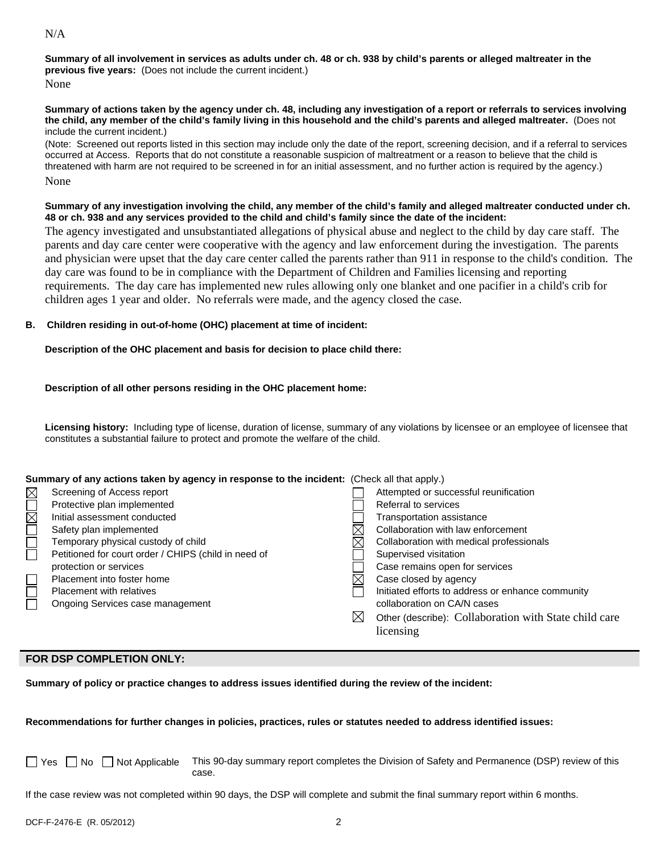### **Summary of all involvement in services as adults under ch. 48 or ch. 938 by child's parents or alleged maltreater in the previous five years:** (Does not include the current incident.)

None

#### **Summary of actions taken by the agency under ch. 48, including any investigation of a report or referrals to services involving the child, any member of the child's family living in this household and the child's parents and alleged maltreater.** (Does not include the current incident.)

(Note: Screened out reports listed in this section may include only the date of the report, screening decision, and if a referral to services occurred at Access. Reports that do not constitute a reasonable suspicion of maltreatment or a reason to believe that the child is threatened with harm are not required to be screened in for an initial assessment, and no further action is required by the agency.) None

### **Summary of any investigation involving the child, any member of the child's family and alleged maltreater conducted under ch. 48 or ch. 938 and any services provided to the child and child's family since the date of the incident:**

The agency investigated and unsubstantiated allegations of physical abuse and neglect to the child by day care staff. The parents and day care center were cooperative with the agency and law enforcement during the investigation. The parents and physician were upset that the day care center called the parents rather than 911 in response to the child's condition. The day care was found to be in compliance with the Department of Children and Families licensing and reporting requirements. The day care has implemented new rules allowing only one blanket and one pacifier in a child's crib for children ages 1 year and older. No referrals were made, and the agency closed the case.

## **B. Children residing in out-of-home (OHC) placement at time of incident:**

## **Description of the OHC placement and basis for decision to place child there:**

## **Description of all other persons residing in the OHC placement home:**

**Licensing history:** Including type of license, duration of license, summary of any violations by licensee or an employee of licensee that constitutes a substantial failure to protect and promote the welfare of the child.

## **Summary of any actions taken by agency in response to the incident:** (Check all that apply.)

|               | Screening of Access report                           |   | Attempted or successful reunification                 |
|---------------|------------------------------------------------------|---|-------------------------------------------------------|
| <b>NUMUNE</b> | Protective plan implemented                          |   | Referral to services                                  |
|               | Initial assessment conducted                         |   | Transportation assistance                             |
|               | Safety plan implemented                              |   | Collaboration with law enforcement                    |
|               | Temporary physical custody of child                  |   | Collaboration with medical professionals              |
|               | Petitioned for court order / CHIPS (child in need of |   | Supervised visitation                                 |
|               | protection or services                               |   | Case remains open for services                        |
|               | Placement into foster home                           |   | Case closed by agency                                 |
|               | Placement with relatives                             |   | Initiated efforts to address or enhance community     |
|               | Ongoing Services case management                     |   | collaboration on CA/N cases                           |
|               |                                                      | ⊠ | Other (describe): Collaboration with State child care |
|               |                                                      |   | licensing                                             |

## **FOR DSP COMPLETION ONLY:**

**Summary of policy or practice changes to address issues identified during the review of the incident:** 

## **Recommendations for further changes in policies, practices, rules or statutes needed to address identified issues:**

No Not Applicable This 90-day summary report completes the Division of Safety and Permanence (DSP) review of this case.

If the case review was not completed within 90 days, the DSP will complete and submit the final summary report within 6 months.